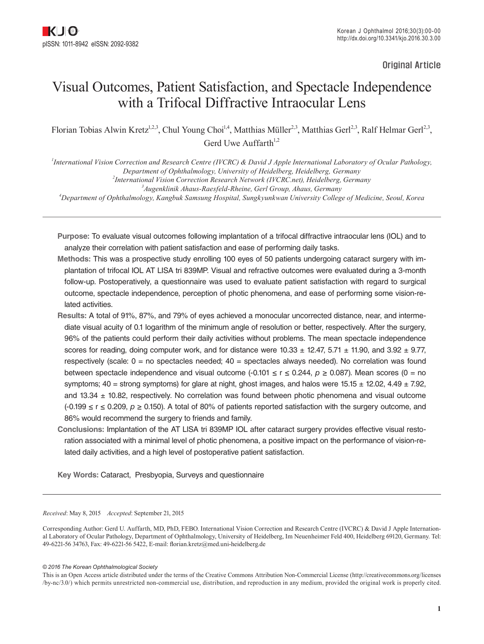Original Article

# Visual Outcomes, Patient Satisfaction, and Spectacle Independence with a Trifocal Diffractive Intraocular Lens

Florian Tobias Alwin Kretz<sup>1,2,3</sup>, Chul Young Choi<sup>1,4</sup>, Matthias Müller<sup>2,3</sup>, Matthias Gerl<sup>2,3</sup>, Ralf Helmar Gerl<sup>2,3</sup>, Gerd Uwe Auffarth $1,2$ 

 *International Vision Correction and Research Centre (IVCRC) & David J Apple International Laboratory of Ocular Pathology, Department of Ophthalmology, University of Heidelberg, Heidelberg, Germany International Vision Correction Research Network (IVCRC.net), Heidelberg, Germany Augenklinik Ahaus-Raesfeld-Rheine, Gerl Group, Ahaus, Germany Department of Ophthalmology, Kangbuk Samsung Hospital, Sungkyunkwan University College of Medicine, Seoul, Korea*

**Purpose:** To evaluate visual outcomes following implantation of a trifocal diffractive intraocular lens (IOL) and to analyze their correlation with patient satisfaction and ease of performing daily tasks.

- **Methods:** This was a prospective study enrolling 100 eyes of 50 patients undergoing cataract surgery with implantation of trifocal IOL AT LISA tri 839MP. Visual and refractive outcomes were evaluated during a 3-month follow-up. Postoperatively, a questionnaire was used to evaluate patient satisfaction with regard to surgical outcome, spectacle independence, perception of photic phenomena, and ease of performing some vision-related activities.
- **Results:** A total of 91%, 87%, and 79% of eyes achieved a monocular uncorrected distance, near, and intermediate visual acuity of 0.1 logarithm of the minimum angle of resolution or better, respectively. After the surgery, 96% of the patients could perform their daily activities without problems. The mean spectacle independence scores for reading, doing computer work, and for distance were  $10.33 \pm 12.47$ ,  $5.71 \pm 11.90$ , and  $3.92 \pm 9.77$ , respectively (scale:  $0 =$  no spectacles needed;  $40 =$  spectacles always needed). No correlation was found between spectacle independence and visual outcome  $(-0.101 \le r \le 0.244, p \ge 0.087)$ . Mean scores  $(0 = no$ symptoms; 40 = strong symptoms) for glare at night, ghost images, and halos were 15.15  $\pm$  12.02, 4.49  $\pm$  7.92, and  $13.34 \pm 10.82$ , respectively. No correlation was found between photic phenomena and visual outcome (-0.199 ≤ r ≤ 0.209, *p* ≥ 0.150). A total of 80% of patients reported satisfaction with the surgery outcome, and 86% would recommend the surgery to friends and family.
- **Conclusions:** Implantation of the AT LISA tri 839MP IOL after cataract surgery provides effective visual restoration associated with a minimal level of photic phenomena, a positive impact on the performance of vision-related daily activities, and a high level of postoperative patient satisfaction.

**Key Words:** Cataract, Presbyopia, Surveys and questionnaire

*Received*: May 8, 2015 *Accepted*: September 21, 2015

Corresponding Author: Gerd U. Auffarth, MD, PhD, FEBO. International Vision Correction and Research Centre (IVCRC) & David J Apple International Laboratory of Ocular Pathology, Department of Ophthalmology, University of Heidelberg, Im Neuenheimer Feld 400, Heidelberg 69120, Germany. Tel: 49-6221-56 34763, Fax: 49-6221-56 5422, E-mail: florian.kretz@med.uni-heidelberg.de

*© 2016 The Korean Ophthalmological Society*

This is an Open Access article distributed under the terms of the Creative Commons Attribution Non-Commercial License (http://creativecommons.org/licenses /by-nc/3.0/) which permits unrestricted non-commercial use, distribution, and reproduction in any medium, provided the original work is properly cited.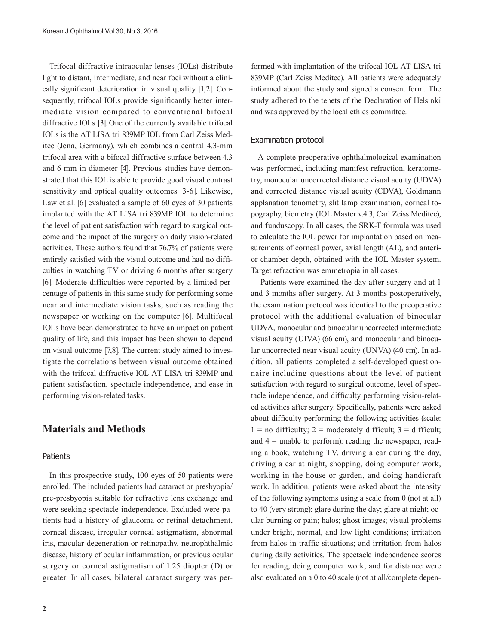Trifocal diffractive intraocular lenses (IOLs) distribute light to distant, intermediate, and near foci without a clinically significant deterioration in visual quality [1,2]. Consequently, trifocal IOLs provide significantly better intermediate vision compared to conventional bifocal diffractive IOLs [3]. One of the currently available trifocal IOLs is the AT LISA tri 839MP IOL from Carl Zeiss Meditec (Jena, Germany), which combines a central 4.3-mm trifocal area with a bifocal diffractive surface between 4.3 and 6 mm in diameter [4]. Previous studies have demonstrated that this IOL is able to provide good visual contrast sensitivity and optical quality outcomes [3-6]. Likewise, Law et al. [6] evaluated a sample of 60 eyes of 30 patients implanted with the AT LISA tri 839MP IOL to determine the level of patient satisfaction with regard to surgical outcome and the impact of the surgery on daily vision-related activities. These authors found that 76.7% of patients were entirely satisfied with the visual outcome and had no difficulties in watching TV or driving 6 months after surgery [6]. Moderate difficulties were reported by a limited percentage of patients in this same study for performing some near and intermediate vision tasks, such as reading the newspaper or working on the computer [6]. Multifocal IOLs have been demonstrated to have an impact on patient quality of life, and this impact has been shown to depend on visual outcome [7,8]. The current study aimed to investigate the correlations between visual outcome obtained with the trifocal diffractive IOL AT LISA tri 839MP and patient satisfaction, spectacle independence, and ease in performing vision-related tasks.

# **Materials and Methods**

### **Patients**

In this prospective study, 100 eyes of 50 patients were enrolled. The included patients had cataract or presbyopia/ pre-presbyopia suitable for refractive lens exchange and were seeking spectacle independence. Excluded were patients had a history of glaucoma or retinal detachment, corneal disease, irregular corneal astigmatism, abnormal iris, macular degeneration or retinopathy, neurophthalmic disease, history of ocular inflammation, or previous ocular surgery or corneal astigmatism of 1.25 diopter (D) or greater. In all cases, bilateral cataract surgery was per-

formed with implantation of the trifocal IOL AT LISA tri 839MP (Carl Zeiss Meditec). All patients were adequately informed about the study and signed a consent form. The study adhered to the tenets of the Declaration of Helsinki and was approved by the local ethics committee.

### Examination protocol

A complete preoperative ophthalmological examination was performed, including manifest refraction, keratometry, monocular uncorrected distance visual acuity (UDVA) and corrected distance visual acuity (CDVA), Goldmann applanation tonometry, slit lamp examination, corneal topography, biometry (IOL Master v.4.3, Carl Zeiss Meditec), and funduscopy. In all cases, the SRK-T formula was used to calculate the IOL power for implantation based on measurements of corneal power, axial length (AL), and anterior chamber depth, obtained with the IOL Master system. Target refraction was emmetropia in all cases.

 Patients were examined the day after surgery and at 1 and 3 months after surgery. At 3 months postoperatively, the examination protocol was identical to the preoperative protocol with the additional evaluation of binocular UDVA, monocular and binocular uncorrected intermediate visual acuity (UIVA) (66 cm), and monocular and binocular uncorrected near visual acuity (UNVA) (40 cm). In addition, all patients completed a self-developed questionnaire including questions about the level of patient satisfaction with regard to surgical outcome, level of spectacle independence, and difficulty performing vision-related activities after surgery. Specifically, patients were asked about difficulty performing the following activities (scale:  $1 =$  no difficulty;  $2 =$  moderately difficult;  $3 =$  difficult; and  $4 =$  unable to perform): reading the newspaper, reading a book, watching TV, driving a car during the day, driving a car at night, shopping, doing computer work, working in the house or garden, and doing handicraft work. In addition, patients were asked about the intensity of the following symptoms using a scale from 0 (not at all) to 40 (very strong): glare during the day; glare at night; ocular burning or pain; halos; ghost images; visual problems under bright, normal, and low light conditions; irritation from halos in traffic situations; and irritation from halos during daily activities. The spectacle independence scores for reading, doing computer work, and for distance were also evaluated on a 0 to 40 scale (not at all/complete depen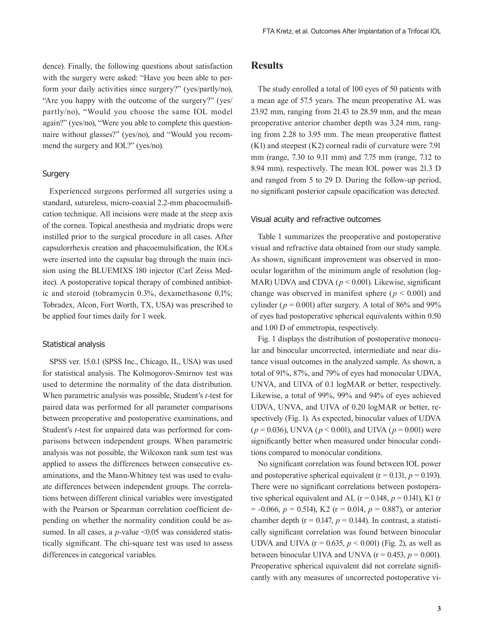dence). Finally, the following questions about satisfaction with the surgery were asked: "Have you been able to perform your daily activities since surgery?" (yes/partly/no), "Are you happy with the outcome of the surgery?" (yes/ partly/no), "Would you choose the same IOL model again?" (yes/no), "Were you able to complete this questionnaire without glasses?" (yes/no), and "Would you recommend the surgery and IOL?" (yes/no).

## **Surgery**

Experienced surgeons performed all surgeries using a standard, sutureless, micro-coaxial 2.2-mm phacoemulsification technique. All incisions were made at the steep axis of the cornea. Topical anesthesia and mydriatic drops were instilled prior to the surgical procedure in all cases. After capsulorrhexis creation and phacoemulsification, the IOLs were inserted into the capsular bag through the main incision using the BLUEMIXS 180 injector (Carl Zeiss Meditec). A postoperative topical therapy of combined antibiotic and steroid (tobramycin 0.3%, dexamethasone 0,1%; Tobradex, Alcon, Fort Worth, TX, USA) was prescribed to be applied four times daily for 1 week.

#### Statistical analysis

SPSS ver. 15.0.1 (SPSS Inc., Chicago, IL, USA) was used for statistical analysis. The Kolmogorov-Smirnov test was used to determine the normality of the data distribution. When parametric analysis was possible, Student's *t*-test for paired data was performed for all parameter comparisons between preoperative and postoperative examinations, and Student's *t*-test for unpaired data was performed for comparisons between independent groups. When parametric analysis was not possible, the Wilcoxon rank sum test was applied to assess the differences between consecutive examinations, and the Mann-Whitney test was used to evaluate differences between independent groups. The correlations between different clinical variables were investigated with the Pearson or Spearman correlation coefficient depending on whether the normality condition could be assumed. In all cases, a *p*-value <0.05 was considered statistically significant. The chi-square test was used to assess differences in categorical variables.

# **Results**

The study enrolled a total of 100 eyes of 50 patients with a mean age of 57.5 years. The mean preoperative AL was 23.92 mm, ranging from 21.43 to 28.59 mm, and the mean preoperative anterior chamber depth was 3.24 mm, ranging from 2.28 to 3.95 mm. The mean preoperative flattest (K1) and steepest (K2) corneal radii of curvature were 7.91 mm (range, 7.30 to 9.11 mm) and 7.75 mm (range, 7.12 to 8.94 mm), respectively. The mean IOL power was 21.3 D and ranged from 5 to 29 D. During the follow-up period, no significant posterior capsule opacification was detected.

### Visual acuity and refractive outcomes

Table 1 summarizes the preoperative and postoperative visual and refractive data obtained from our study sample. As shown, significant improvement was observed in monocular logarithm of the minimum angle of resolution (log-MAR) UDVA and CDVA ( $p < 0.001$ ). Likewise, significant change was observed in manifest sphere ( $p < 0.001$ ) and cylinder ( $p = 0.001$ ) after surgery. A total of 86% and 99% of eyes had postoperative spherical equivalents within 0.50 and 1.00 D of emmetropia, respectively.

Fig. 1 displays the distribution of postoperative monocular and binocular uncorrected, intermediate and near distance visual outcomes in the analyzed sample. As shown, a total of 91%, 87%, and 79% of eyes had monocular UDVA, UNVA, and UIVA of 0.1 logMAR or better, respectively. Likewise, a total of 99%, 99% and 94% of eyes achieved UDVA, UNVA, and UIVA of 0.20 logMAR or better, respectively (Fig. 1). As expected, binocular values of UDVA (*p* = 0.036), UNVA (*p* < 0.001), and UIVA (*p* = 0.001) were significantly better when measured under binocular conditions compared to monocular conditions.

No significant correlation was found between IOL power and postoperative spherical equivalent ( $r = 0.131$ ,  $p = 0.193$ ). There were no significant correlations between postoperative spherical equivalent and AL ( $r = 0.148$ ,  $p = 0.141$ ), K1 (r  $= -0.066$ ,  $p = 0.514$ ), K2 (r = 0.014,  $p = 0.887$ ), or anterior chamber depth ( $r = 0.147$ ,  $p = 0.144$ ). In contrast, a statistically significant correlation was found between binocular UDVA and UIVA ( $r = 0.635$ ,  $p < 0.001$ ) (Fig. 2), as well as between binocular UIVA and UNVA  $(r = 0.453, p = 0.001)$ . Preoperative spherical equivalent did not correlate significantly with any measures of uncorrected postoperative vi-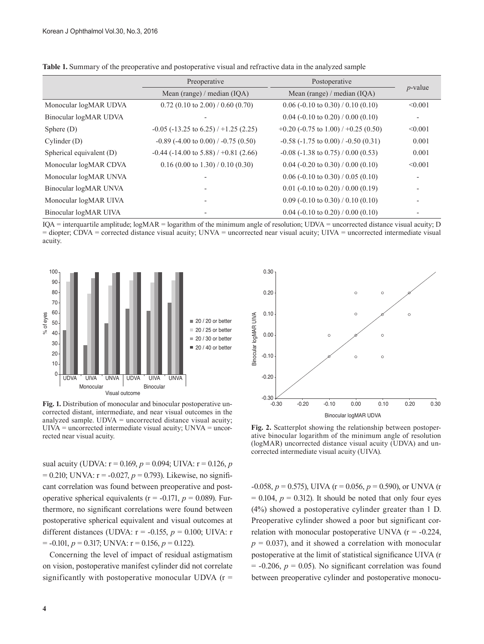|                          | Preoperative                                   | Postoperative                                      | $p$ -value               |
|--------------------------|------------------------------------------------|----------------------------------------------------|--------------------------|
|                          | Mean (range) / median (IQA)                    | Mean (range) / median (IQA)                        |                          |
| Monocular logMAR UDVA    | $0.72$ (0.10 to 2.00) / 0.60 (0.70)            | $0.06$ (-0.10 to 0.30) / 0.10 (0.10)               | < 0.001                  |
| Binocular logMAR UDVA    |                                                | $0.04$ (-0.10 to 0.20) / 0.00 (0.10)               | $\overline{\phantom{a}}$ |
| Sphere $(D)$             | $-0.05$ ( $-13.25$ to 6.25) / $+1.25$ (2.25)   | $+0.20$ (-0.75 to 1.00) / +0.25 (0.50)             | < 0.001                  |
| Cylinder(D)              | $-0.89$ ( $-4.00$ to $0.00$ ) / $-0.75$ (0.50) | $-0.58$ ( $-1.75$ to $0.00$ ) / $-0.50$ ( $0.31$ ) | 0.001                    |
| Spherical equivalent (D) | $-0.44$ ( $-14.00$ to 5.88) / $+0.81$ (2.66)   | $-0.08$ ( $-1.38$ to 0.75) / 0.00 (0.53)           | 0.001                    |
| Monocular logMAR CDVA    | $0.16$ (0.00 to 1.30) / 0.10 (0.30)            | $0.04$ (-0.20 to 0.30) / 0.00 (0.10)               | < 0.001                  |
| Monocular logMAR UNVA    |                                                | $0.06$ (-0.10 to 0.30) / 0.05 (0.10)               | $\overline{\phantom{a}}$ |
| Binocular logMAR UNVA    |                                                | $0.01$ (-0.10 to 0.20) / 0.00 (0.19)               | $\overline{\phantom{0}}$ |
| Monocular logMAR UIVA    |                                                | $0.09$ (-0.10 to 0.30) / 0.10 (0.10)               |                          |
| Binocular logMAR UIVA    |                                                | $0.04$ (-0.10 to 0.20) / 0.00 (0.10)               |                          |

**Table 1.** Summary of the preoperative and postoperative visual and refractive data in the analyzed sample

IQA = interquartile amplitude; logMAR = logarithm of the minimum angle of resolution; UDVA = uncorrected distance visual acuity; D = diopter; CDVA = corrected distance visual acuity; UNVA = uncorrected near visual acuity; UIVA = uncorrected intermediate visual acuity.



**Fig. 1.** Distribution of monocular and binocular postoperative uncorrected distant, intermediate, and near visual outcomes in the analyzed sample. UDVA = uncorrected distance visual acuity;  $UIVA = uncorrected intermediate visual acuity$ ;  $UNVA = uncor$ rected near visual acuity.

sual acuity (UDVA:  $r = 0.169$ ,  $p = 0.094$ ; UIVA:  $r = 0.126$ , *p*  $= 0.210$ ; UNVA:  $r = -0.027$ ,  $p = 0.793$ ). Likewise, no significant correlation was found between preoperative and postoperative spherical equivalents ( $r = -0.171$ ,  $p = 0.089$ ). Furthermore, no significant correlations were found between postoperative spherical equivalent and visual outcomes at different distances (UDVA: r = -0.155, *p* = 0.100; UIVA: r  $= -0.101, p = 0.317$ ; UNVA:  $r = 0.156, p = 0.122$ ).

Concerning the level of impact of residual astigmatism on vision, postoperative manifest cylinder did not correlate significantly with postoperative monocular UDVA  $(r =$ 



**Fig. 2.** Scatterplot showing the relationship between postoperative binocular logarithm of the minimum angle of resolution (logMAR) uncorrected distance visual acuity (UDVA) and uncorrected intermediate visual acuity (UIVA).

-0.058, *p* = 0.575), UIVA (r = 0.056, *p* = 0.590), or UNVA (r  $= 0.104$ ,  $p = 0.312$ ). It should be noted that only four eyes (4%) showed a postoperative cylinder greater than 1 D. Preoperative cylinder showed a poor but significant correlation with monocular postoperative UNVA  $(r = -0.224)$ ,  $p = 0.037$ , and it showed a correlation with monocular postoperative at the limit of statistical significance UIVA (r  $= -0.206$ ,  $p = 0.05$ ). No significant correlation was found between preoperative cylinder and postoperative monocu-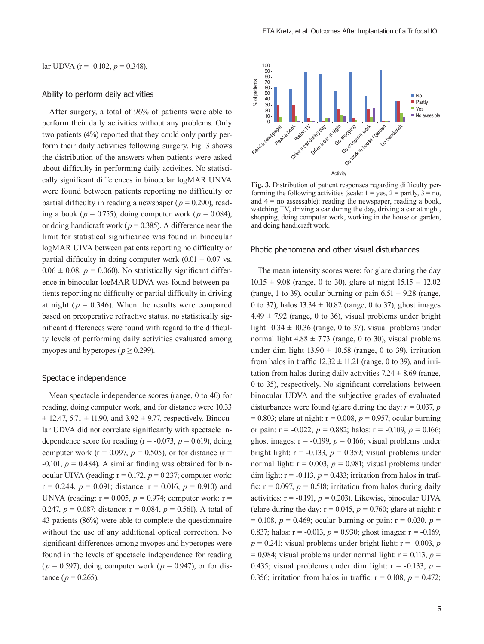#### Ability to perform daily activities

After surgery, a total of 96% of patients were able to perform their daily activities without any problems. Only two patients (4%) reported that they could only partly perform their daily activities following surgery. Fig. 3 shows the distribution of the answers when patients were asked about difficulty in performing daily activities. No statistically significant differences in binocular logMAR UNVA were found between patients reporting no difficulty or partial difficulty in reading a newspaper ( $p = 0.290$ ), reading a book ( $p = 0.755$ ), doing computer work ( $p = 0.084$ ), or doing handicraft work ( $p = 0.385$ ). A difference near the limit for statistical significance was found in binocular logMAR UIVA between patients reporting no difficulty or partial difficulty in doing computer work  $(0.01 \pm 0.07 \text{ vs.})$  $0.06 \pm 0.08$ ,  $p = 0.060$ ). No statistically significant difference in binocular logMAR UDVA was found between patients reporting no difficulty or partial difficulty in driving at night ( $p = 0.346$ ). When the results were compared based on preoperative refractive status, no statistically significant differences were found with regard to the difficulty levels of performing daily activities evaluated among myopes and hyperopes ( $p \ge 0.299$ ).

### Spectacle independence

Mean spectacle independence scores (range, 0 to 40) for reading, doing computer work, and for distance were 10.33  $\pm$  12.47, 5.71  $\pm$  11.90, and 3.92  $\pm$  9.77, respectively. Binocular UDVA did not correlate significantly with spectacle independence score for reading  $(r = -0.073, p = 0.619)$ , doing computer work ( $r = 0.097$ ,  $p = 0.505$ ), or for distance ( $r =$  $-0.101$ ,  $p = 0.484$ ). A similar finding was obtained for binocular UIVA (reading:  $r = 0.172$ ,  $p = 0.237$ ; computer work:  $r = 0.244$ ,  $p = 0.091$ ; distance:  $r = 0.016$ ,  $p = 0.910$ ) and UNVA (reading:  $r = 0.005$ ,  $p = 0.974$ ; computer work:  $r =$ 0.247,  $p = 0.087$ ; distance:  $r = 0.084$ ,  $p = 0.561$ ). A total of 43 patients (86%) were able to complete the questionnaire without the use of any additional optical correction. No significant differences among myopes and hyperopes were found in the levels of spectacle independence for reading  $(p = 0.597)$ , doing computer work  $(p = 0.947)$ , or for distance ( $p = 0.265$ ).



**Fig. 3.** Distribution of patient responses regarding difficulty performing the following activities (scale:  $1 = \text{ves}, 2 = \text{partly}, 3 = \text{no},$ and  $4 =$  no assessable): reading the newspaper, reading a book, watching TV, driving a car during the day, driving a car at night, shopping, doing computer work, working in the house or garden, and doing handicraft work.

### Photic phenomena and other visual disturbances

The mean intensity scores were: for glare during the day  $10.15 \pm 9.08$  (range, 0 to 30), glare at night  $15.15 \pm 12.02$ (range, 1 to 39), ocular burning or pain  $6.51 \pm 9.28$  (range, 0 to 37), halos  $13.34 \pm 10.82$  (range, 0 to 37), ghost images  $4.49 \pm 7.92$  (range, 0 to 36), visual problems under bright light  $10.34 \pm 10.36$  (range, 0 to 37), visual problems under normal light  $4.88 \pm 7.73$  (range, 0 to 30), visual problems under dim light  $13.90 \pm 10.58$  (range, 0 to 39), irritation from halos in traffic  $12.32 \pm 11.21$  (range, 0 to 39), and irritation from halos during daily activities  $7.24 \pm 8.69$  (range, 0 to 35), respectively. No significant correlations between binocular UDVA and the subjective grades of evaluated disturbances were found (glare during the day:  $r = 0.037$ , *p*  $= 0.803$ ; glare at night:  $r = 0.008$ ,  $p = 0.957$ ; ocular burning or pain:  $r = -0.022$ ,  $p = 0.882$ ; halos:  $r = -0.109$ ,  $p = 0.166$ ; ghost images:  $r = -0.199$ ,  $p = 0.166$ ; visual problems under bright light:  $r = -0.133$ ,  $p = 0.359$ ; visual problems under normal light:  $r = 0.003$ ,  $p = 0.981$ ; visual problems under dim light:  $r = -0.113$ ,  $p = 0.433$ ; irritation from halos in traffic:  $r = 0.097$ ,  $p = 0.518$ ; irritation from halos during daily activities:  $r = -0.191$ ,  $p = 0.203$ ). Likewise, binocular UIVA (glare during the day:  $r = 0.045$ ,  $p = 0.760$ ; glare at night: r  $p = 0.108$ ,  $p = 0.469$ ; ocular burning or pain:  $r = 0.030$ ,  $p =$ 0.837; halos:  $r = -0.013$ ,  $p = 0.930$ ; ghost images:  $r = -0.169$ ,  $p = 0.241$ ; visual problems under bright light:  $r = -0.003$ , *p*  $= 0.984$ ; visual problems under normal light:  $r = 0.113$ ,  $p =$ 0.435; visual problems under dim light:  $r = -0.133$ ,  $p =$ 0.356; irritation from halos in traffic:  $r = 0.108$ ,  $p = 0.472$ ;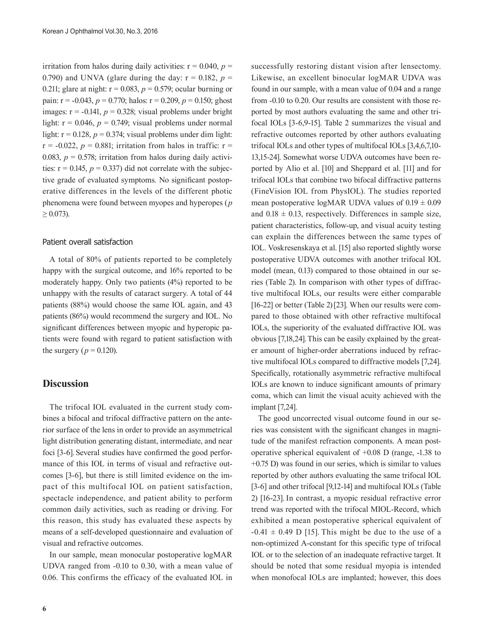irritation from halos during daily activities:  $r = 0.040$ ,  $p =$ 0.790) and UNVA (glare during the day:  $r = 0.182$ ,  $p =$ 0.211; glare at night:  $r = 0.083$ ,  $p = 0.579$ ; ocular burning or pain:  $r = -0.043$ ,  $p = 0.770$ ; halos:  $r = 0.209$ ,  $p = 0.150$ ; ghost images:  $r = -0.141$ ,  $p = 0.328$ ; visual problems under bright light:  $r = 0.046$ ,  $p = 0.749$ ; visual problems under normal light:  $r = 0.128$ ,  $p = 0.374$ ; visual problems under dim light:  $r = -0.022$ ,  $p = 0.881$ ; irritation from halos in traffic:  $r =$ 0.083,  $p = 0.578$ ; irritation from halos during daily activities:  $r = 0.145$ ,  $p = 0.337$ ) did not correlate with the subjective grade of evaluated symptoms. No significant postoperative differences in the levels of the different photic phenomena were found between myopes and hyperopes (*p*   $\geq 0.073$ ).

### Patient overall satisfaction

A total of 80% of patients reported to be completely happy with the surgical outcome, and 16% reported to be moderately happy. Only two patients (4%) reported to be unhappy with the results of cataract surgery. A total of 44 patients (88%) would choose the same IOL again, and 43 patients (86%) would recommend the surgery and IOL. No significant differences between myopic and hyperopic patients were found with regard to patient satisfaction with the surgery ( $p = 0.120$ ).

# **Discussion**

The trifocal IOL evaluated in the current study combines a bifocal and trifocal diffractive pattern on the anterior surface of the lens in order to provide an asymmetrical light distribution generating distant, intermediate, and near foci [3-6]. Several studies have confirmed the good performance of this IOL in terms of visual and refractive outcomes [3-6], but there is still limited evidence on the impact of this multifocal IOL on patient satisfaction, spectacle independence, and patient ability to perform common daily activities, such as reading or driving. For this reason, this study has evaluated these aspects by means of a self-developed questionnaire and evaluation of visual and refractive outcomes.

In our sample, mean monocular postoperative logMAR UDVA ranged from -0.10 to 0.30, with a mean value of 0.06. This confirms the efficacy of the evaluated IOL in

successfully restoring distant vision after lensectomy. Likewise, an excellent binocular logMAR UDVA was found in our sample, with a mean value of 0.04 and a range from -0.10 to 0.20. Our results are consistent with those reported by most authors evaluating the same and other trifocal IOLs [3-6,9-15]. Table 2 summarizes the visual and refractive outcomes reported by other authors evaluating trifocal IOLs and other types of multifocal IOLs [3,4,6,7,10- 13,15-24]. Somewhat worse UDVA outcomes have been reported by Alio et al. [10] and Sheppard et al. [11] and for trifocal IOLs that combine two bifocal diffractive patterns (FineVision IOL from PhysIOL). The studies reported mean postoperative logMAR UDVA values of  $0.19 \pm 0.09$ and  $0.18 \pm 0.13$ , respectively. Differences in sample size, patient characteristics, follow-up, and visual acuity testing can explain the differences between the same types of IOL. Voskresenskaya et al. [15] also reported slightly worse postoperative UDVA outcomes with another trifocal IOL model (mean, 0.13) compared to those obtained in our series (Table 2). In comparison with other types of diffractive multifocal IOLs, our results were either comparable [16-22] or better (Table 2)[23]. When our results were compared to those obtained with other refractive multifocal IOLs, the superiority of the evaluated diffractive IOL was obvious [7,18,24].This can be easily explained by the greater amount of higher-order aberrations induced by refractive multifocal IOLs compared to diffractive models [7,24]. Specifically, rotationally asymmetric refractive multifocal IOLs are known to induce significant amounts of primary coma, which can limit the visual acuity achieved with the implant [7,24].

The good uncorrected visual outcome found in our series was consistent with the significant changes in magnitude of the manifest refraction components. A mean postoperative spherical equivalent of +0.08 D (range, -1.38 to +0.75 D) was found in our series, which is similar to values reported by other authors evaluating the same trifocal IOL [3-6] and other trifocal [9,12-14] and multifocal IOLs (Table 2) [16-23]. In contrast, a myopic residual refractive error trend was reported with the trifocal MIOL-Record, which exhibited a mean postoperative spherical equivalent of  $-0.41 \pm 0.49$  D [15]. This might be due to the use of a non-optimized A-constant for this specific type of trifocal IOL or to the selection of an inadequate refractive target. It should be noted that some residual myopia is intended when monofocal IOLs are implanted; however, this does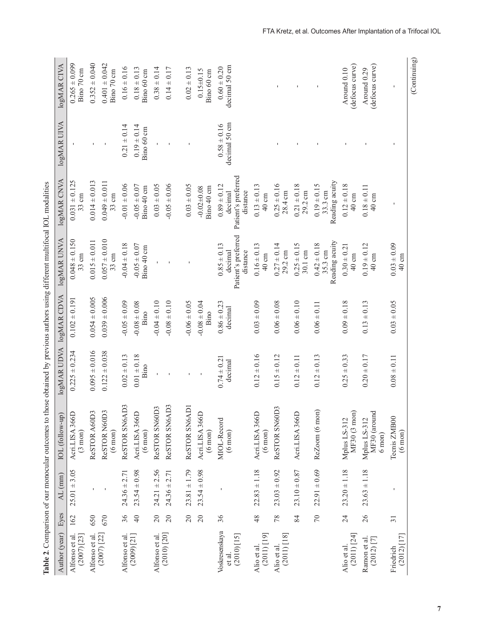| $0.352 \pm 0.040$<br>$0.265 \pm 0.099$<br>$0.401 \pm 0.042$<br>(defocus curve)<br>(defocus curve)<br>decimal 50 cm<br>$0.16 \pm 0.16$<br>$0.60 \pm 0.20$<br>$0.18 \pm 0.13$<br>$0.38 \pm 0.14$<br>$0.14 \pm 0.17$<br>$0.02 \pm 0.13$<br>Around 0.10<br>Around 0.29<br>Bino 70 cm<br>$0.15 \pm 0.15$<br>Bino 70 cm<br>Bino 60 cm<br>Bino 60 cm<br>$\mathbf{I}$<br>decimal 50 cm<br>$0.58 \pm 0.16$<br>$0.21 \pm 0.14$<br>$0.19 \pm 0.14$<br>Bino 60 cm<br>Patient's preferred<br>$0.031 \pm 0.125$<br>$0.014 \pm 0.013$<br>$0.049 \pm 0.011$<br>Reading acuity<br>$-0.01 \pm 0.06$<br>$0.03 \pm 0.05$<br>$-0.05 \pm 0.06$<br>$0.25 \pm 0.16$<br>$0.21 \pm 0.18$<br>$0.19 \pm 0.15$<br>$0.12 \pm 0.18$<br>$-0.05 \pm 0.07$<br>$0.03 \pm 0.05$<br>$0.89 \pm 0.12$<br>$0.13 \pm 0.13$<br>$0.18 \pm 0.11$<br>Bino 40 cm<br>Bino 40 cm<br>$-0.02 + 0.08$<br>28.4 cm<br>29.2 cm<br>33.3 cm<br>distance<br>decimal<br>$33 \text{ cm}$<br>$40 \text{ cm}$<br>$33 \text{ cm}$<br>40 cm<br>$40 \text{ cm}$<br>Patient's preferred<br>$0.048 \pm 0.150$<br>$0.057 \pm 0.010$<br>$0.015 \pm 0.011$<br>Reading acuity<br>$-0.04 \pm 0.18$<br>$-0.05 \pm 0.07$<br>$0.27 \pm 0.14$<br>$0.25 \pm 0.15$<br>$0.42 \pm 0.18$<br>$0.19 \pm 0.12$<br>$0.85 \pm 0.13$<br>$0.16 \pm 0.13$<br>$0.30 \pm 0.21$<br>$0.03 \pm 0.09$<br>Bino 40 cm<br>$29.2 \text{ cm}$<br>30.1 cm<br>35.3 cm<br>decimal<br>distance<br>$33 \text{ cm}$<br>$40 \text{ cm}$<br>$33 \text{ cm}$<br>$40 \text{ cm}$<br>$40 \text{ cm}$<br>40 cm<br>$0.054 \pm 0.005$<br>$0.039 \pm 0.006$<br>$0.102 \pm 0.191$<br>$-0.05 \pm 0.09$<br>$-0.04 \pm 0.10$<br>$-0.08 \pm 0.10$<br>$-0.08 \pm 0.08$<br>$-0.08 \pm 0.04$<br>$0.86 \pm 0.23$<br>$0.03 \pm 0.09$<br>$0.06 \pm 0.08$<br>$0.06 \pm 0.10$<br>$0.09 \pm 0.18$<br>$0.13 \pm 0.13$<br>$0.03 \pm 0.05$<br>$-0.06 \pm 0.05$<br>$0.06 \pm 0.11$<br>decimal<br>Bino<br>Bino<br>$0.225 \pm 0.234$<br>$0.095 \pm 0.016$<br>$0.122 \pm 0.038$<br>$0.01 \pm 0.18$<br>$0.12 \pm 0.16$<br>$0.02 \pm 0.13$<br>$0.15 \pm 0.12$<br>$0.12 \pm 0.13$<br>$0.20 \pm 0.17$<br>$0.25 \pm 0.33$<br>$0.12 \pm 0.11$<br>$0.08 \pm 0.11$<br>$0.74 \pm 0.21$<br>decimal<br>Bino<br>ReSTOR SN6AD3<br>ReSTOR SN6AD3<br>ReSTOR SN6AD1<br>ReSTOR SN60D3<br>ReSTOR SN60D3<br>ReZoom (6 mon)<br>Mplus LS-312<br>MF30 (3 mon)<br>ReSTOR N60D3<br>ReSTOR A60D3<br>MF30 (around<br>Acri.LISA 366D<br>Acri.LISA 366D<br>Acri.LISA 366D<br>Acri.LISA 366D<br>Acri.LISA 366D<br>Mplus LS-312<br>Tecnis ZMB00<br>MIOL-Record<br>$(6 \text{ mon})$<br>$(6 \text{ mon})$<br>$(6 \text{ mon})$<br>$(6 \text{ mon})$<br>$(3 \text{ mon})$<br>$(6 \text{ mon})$<br>$(6 \text{ mon})$<br>$6 \text{ mon}$<br>$22.91 \pm 0.69$<br>$23.20 \pm 1.18$<br>$22.83 \pm 1.18$<br>$23.10 \pm 0.87$<br>$23.54 \pm 0.98$<br>$24.21 \pm 2.56$<br>$23.54 \pm 0.98$<br>$23.03 \pm 0.92$<br>$23.63 \pm 1.18$<br>$25.01 \pm 3.05$<br>$24.36 \pm 2.71$<br>$23.81 \pm 1.79$<br>$24.36 \pm 2.71$<br>36<br>$\sqrt{2}$<br>26<br>162<br>650<br>$\overline{40}$<br>20<br>$20$<br>24<br>670<br>$20$<br>$\overline{c}$<br>36<br>48<br>78<br>84<br>$\overline{31}$ | Author (year)                  | Eyes | AL (mm) | Table 2. Comparison of our monocular outcomes to those obtained by previous authors using different multifocal IOL modalities<br>IOL (follow-up) | <b>IOgMAR UDVA</b> | logMAR CDVA | logMAR UNVA | logMAR CNVA | logMAR UIVA | logMAR CIVA |
|------------------------------------------------------------------------------------------------------------------------------------------------------------------------------------------------------------------------------------------------------------------------------------------------------------------------------------------------------------------------------------------------------------------------------------------------------------------------------------------------------------------------------------------------------------------------------------------------------------------------------------------------------------------------------------------------------------------------------------------------------------------------------------------------------------------------------------------------------------------------------------------------------------------------------------------------------------------------------------------------------------------------------------------------------------------------------------------------------------------------------------------------------------------------------------------------------------------------------------------------------------------------------------------------------------------------------------------------------------------------------------------------------------------------------------------------------------------------------------------------------------------------------------------------------------------------------------------------------------------------------------------------------------------------------------------------------------------------------------------------------------------------------------------------------------------------------------------------------------------------------------------------------------------------------------------------------------------------------------------------------------------------------------------------------------------------------------------------------------------------------------------------------------------------------------------------------------------------------------------------------------------------------------------------------------------------------------------------------------------------------------------------------------------------------------------------------------------------------------------------------------------------------------------------------------------------------------------------------------------------------------------------------------------------------------------------------------------------------------------------------------------------------------------------------------------------------------------------------------------------------------------------------------------------------------------------------------------------------------------------------------------------------------------------------------------------------------------------|--------------------------------|------|---------|--------------------------------------------------------------------------------------------------------------------------------------------------|--------------------|-------------|-------------|-------------|-------------|-------------|
|                                                                                                                                                                                                                                                                                                                                                                                                                                                                                                                                                                                                                                                                                                                                                                                                                                                                                                                                                                                                                                                                                                                                                                                                                                                                                                                                                                                                                                                                                                                                                                                                                                                                                                                                                                                                                                                                                                                                                                                                                                                                                                                                                                                                                                                                                                                                                                                                                                                                                                                                                                                                                                                                                                                                                                                                                                                                                                                                                                                                                                                                                                |                                |      |         |                                                                                                                                                  |                    |             |             |             |             |             |
|                                                                                                                                                                                                                                                                                                                                                                                                                                                                                                                                                                                                                                                                                                                                                                                                                                                                                                                                                                                                                                                                                                                                                                                                                                                                                                                                                                                                                                                                                                                                                                                                                                                                                                                                                                                                                                                                                                                                                                                                                                                                                                                                                                                                                                                                                                                                                                                                                                                                                                                                                                                                                                                                                                                                                                                                                                                                                                                                                                                                                                                                                                |                                |      |         |                                                                                                                                                  |                    |             |             |             |             |             |
|                                                                                                                                                                                                                                                                                                                                                                                                                                                                                                                                                                                                                                                                                                                                                                                                                                                                                                                                                                                                                                                                                                                                                                                                                                                                                                                                                                                                                                                                                                                                                                                                                                                                                                                                                                                                                                                                                                                                                                                                                                                                                                                                                                                                                                                                                                                                                                                                                                                                                                                                                                                                                                                                                                                                                                                                                                                                                                                                                                                                                                                                                                |                                |      |         |                                                                                                                                                  |                    |             |             |             |             |             |
|                                                                                                                                                                                                                                                                                                                                                                                                                                                                                                                                                                                                                                                                                                                                                                                                                                                                                                                                                                                                                                                                                                                                                                                                                                                                                                                                                                                                                                                                                                                                                                                                                                                                                                                                                                                                                                                                                                                                                                                                                                                                                                                                                                                                                                                                                                                                                                                                                                                                                                                                                                                                                                                                                                                                                                                                                                                                                                                                                                                                                                                                                                |                                |      |         |                                                                                                                                                  |                    |             |             |             |             |             |
|                                                                                                                                                                                                                                                                                                                                                                                                                                                                                                                                                                                                                                                                                                                                                                                                                                                                                                                                                                                                                                                                                                                                                                                                                                                                                                                                                                                                                                                                                                                                                                                                                                                                                                                                                                                                                                                                                                                                                                                                                                                                                                                                                                                                                                                                                                                                                                                                                                                                                                                                                                                                                                                                                                                                                                                                                                                                                                                                                                                                                                                                                                |                                |      |         |                                                                                                                                                  |                    |             |             |             |             |             |
|                                                                                                                                                                                                                                                                                                                                                                                                                                                                                                                                                                                                                                                                                                                                                                                                                                                                                                                                                                                                                                                                                                                                                                                                                                                                                                                                                                                                                                                                                                                                                                                                                                                                                                                                                                                                                                                                                                                                                                                                                                                                                                                                                                                                                                                                                                                                                                                                                                                                                                                                                                                                                                                                                                                                                                                                                                                                                                                                                                                                                                                                                                |                                |      |         |                                                                                                                                                  |                    |             |             |             |             |             |
|                                                                                                                                                                                                                                                                                                                                                                                                                                                                                                                                                                                                                                                                                                                                                                                                                                                                                                                                                                                                                                                                                                                                                                                                                                                                                                                                                                                                                                                                                                                                                                                                                                                                                                                                                                                                                                                                                                                                                                                                                                                                                                                                                                                                                                                                                                                                                                                                                                                                                                                                                                                                                                                                                                                                                                                                                                                                                                                                                                                                                                                                                                |                                |      |         |                                                                                                                                                  |                    |             |             |             |             |             |
|                                                                                                                                                                                                                                                                                                                                                                                                                                                                                                                                                                                                                                                                                                                                                                                                                                                                                                                                                                                                                                                                                                                                                                                                                                                                                                                                                                                                                                                                                                                                                                                                                                                                                                                                                                                                                                                                                                                                                                                                                                                                                                                                                                                                                                                                                                                                                                                                                                                                                                                                                                                                                                                                                                                                                                                                                                                                                                                                                                                                                                                                                                |                                |      |         |                                                                                                                                                  |                    |             |             |             |             |             |
|                                                                                                                                                                                                                                                                                                                                                                                                                                                                                                                                                                                                                                                                                                                                                                                                                                                                                                                                                                                                                                                                                                                                                                                                                                                                                                                                                                                                                                                                                                                                                                                                                                                                                                                                                                                                                                                                                                                                                                                                                                                                                                                                                                                                                                                                                                                                                                                                                                                                                                                                                                                                                                                                                                                                                                                                                                                                                                                                                                                                                                                                                                | Voskresenskaya                 |      |         |                                                                                                                                                  |                    |             |             |             |             |             |
|                                                                                                                                                                                                                                                                                                                                                                                                                                                                                                                                                                                                                                                                                                                                                                                                                                                                                                                                                                                                                                                                                                                                                                                                                                                                                                                                                                                                                                                                                                                                                                                                                                                                                                                                                                                                                                                                                                                                                                                                                                                                                                                                                                                                                                                                                                                                                                                                                                                                                                                                                                                                                                                                                                                                                                                                                                                                                                                                                                                                                                                                                                | Alio et al.<br>(2011) [19]     |      |         |                                                                                                                                                  |                    |             |             |             |             |             |
|                                                                                                                                                                                                                                                                                                                                                                                                                                                                                                                                                                                                                                                                                                                                                                                                                                                                                                                                                                                                                                                                                                                                                                                                                                                                                                                                                                                                                                                                                                                                                                                                                                                                                                                                                                                                                                                                                                                                                                                                                                                                                                                                                                                                                                                                                                                                                                                                                                                                                                                                                                                                                                                                                                                                                                                                                                                                                                                                                                                                                                                                                                | $(2011)$ [18]                  |      |         |                                                                                                                                                  |                    |             |             |             |             |             |
|                                                                                                                                                                                                                                                                                                                                                                                                                                                                                                                                                                                                                                                                                                                                                                                                                                                                                                                                                                                                                                                                                                                                                                                                                                                                                                                                                                                                                                                                                                                                                                                                                                                                                                                                                                                                                                                                                                                                                                                                                                                                                                                                                                                                                                                                                                                                                                                                                                                                                                                                                                                                                                                                                                                                                                                                                                                                                                                                                                                                                                                                                                |                                |      |         |                                                                                                                                                  |                    |             |             |             |             |             |
|                                                                                                                                                                                                                                                                                                                                                                                                                                                                                                                                                                                                                                                                                                                                                                                                                                                                                                                                                                                                                                                                                                                                                                                                                                                                                                                                                                                                                                                                                                                                                                                                                                                                                                                                                                                                                                                                                                                                                                                                                                                                                                                                                                                                                                                                                                                                                                                                                                                                                                                                                                                                                                                                                                                                                                                                                                                                                                                                                                                                                                                                                                |                                |      |         |                                                                                                                                                  |                    |             |             |             |             |             |
|                                                                                                                                                                                                                                                                                                                                                                                                                                                                                                                                                                                                                                                                                                                                                                                                                                                                                                                                                                                                                                                                                                                                                                                                                                                                                                                                                                                                                                                                                                                                                                                                                                                                                                                                                                                                                                                                                                                                                                                                                                                                                                                                                                                                                                                                                                                                                                                                                                                                                                                                                                                                                                                                                                                                                                                                                                                                                                                                                                                                                                                                                                | $(2011)$ [24]                  |      |         |                                                                                                                                                  |                    |             |             |             |             |             |
|                                                                                                                                                                                                                                                                                                                                                                                                                                                                                                                                                                                                                                                                                                                                                                                                                                                                                                                                                                                                                                                                                                                                                                                                                                                                                                                                                                                                                                                                                                                                                                                                                                                                                                                                                                                                                                                                                                                                                                                                                                                                                                                                                                                                                                                                                                                                                                                                                                                                                                                                                                                                                                                                                                                                                                                                                                                                                                                                                                                                                                                                                                | Ramon et al.<br>$(2012)$ $[7]$ |      |         |                                                                                                                                                  |                    |             |             |             |             |             |
|                                                                                                                                                                                                                                                                                                                                                                                                                                                                                                                                                                                                                                                                                                                                                                                                                                                                                                                                                                                                                                                                                                                                                                                                                                                                                                                                                                                                                                                                                                                                                                                                                                                                                                                                                                                                                                                                                                                                                                                                                                                                                                                                                                                                                                                                                                                                                                                                                                                                                                                                                                                                                                                                                                                                                                                                                                                                                                                                                                                                                                                                                                |                                |      |         |                                                                                                                                                  |                    |             |             |             |             |             |

**7**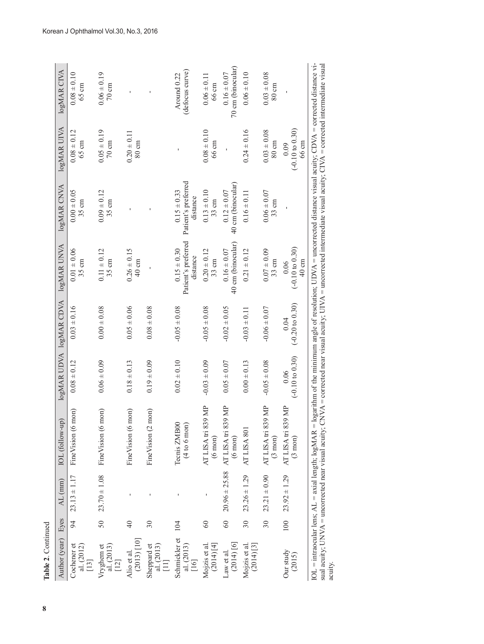| Table 2. Continued                                    |                 |                        |                                                                                                                                                                               |                                    |                                    |                                                    |                                                    |                                    |                                                                                                                                |
|-------------------------------------------------------|-----------------|------------------------|-------------------------------------------------------------------------------------------------------------------------------------------------------------------------------|------------------------------------|------------------------------------|----------------------------------------------------|----------------------------------------------------|------------------------------------|--------------------------------------------------------------------------------------------------------------------------------|
| Author (year)                                         | Eyes            | AL (mm)                | IOL (follow-up)                                                                                                                                                               |                                    | <b>IOgMAR UDVA</b> IOgMAR CDVA     | <b>IOgMAR UNVA</b>                                 | logMAR CNVA                                        | <b>logMAR UIVA</b>                 | logMAR CIVA                                                                                                                    |
| Cochener et<br>al. $(2012)$<br>[13]                   | 94              | $23.13 \pm 1.17$       | FineVision (6 mon)                                                                                                                                                            | $0.08 \pm 0.12$                    | $0.03 \pm 0.16$                    | $0.01 \pm 0.06$<br>$35 \text{ cm}$                 | $0.00 \pm 0.05$<br>35 cm                           | $0.08 \pm 0.12$<br>$65 \text{ cm}$ | $0.08 \pm 0.10$<br>$65 \text{ cm}$                                                                                             |
| al. $(2013)$<br>[12]<br>Vryghem et                    | 50              | $23.70 \pm 1.08$       | FineVision (6 mon)                                                                                                                                                            | $0.06 \pm 0.09$                    | $0.00 \pm 0.08$                    | $0.11 \pm 0.12$<br>$35 \text{ cm}$                 | $0.09 \pm 0.12$<br>35 cm                           | $0.05 \pm 0.19$<br>$70 \text{ cm}$ | $0.06 \pm 0.19$<br>$70 \text{ cm}$                                                                                             |
| $(2013)$ [10]<br>Alio et al.                          | $\overline{4}$  |                        | FineVision (6 mon)                                                                                                                                                            | $0.18 \pm 0.13$                    | $0.05 \pm 0.06$                    | $0.26 \pm 0.15$<br>40 cm                           |                                                    | $0.20 \pm 0.11$<br>80 cm           |                                                                                                                                |
| al. $(2013)$<br>[11]<br>Sheppard et                   | $30\,$          |                        | FineVision (2 mon)                                                                                                                                                            | $0.19 \pm 0.09$                    | $0.08 \pm 0.08$                    |                                                    |                                                    |                                    |                                                                                                                                |
| Schmickler et<br>al. $(2013)$<br>[16]                 | 104             |                        | Tecnis ZMB00<br>$(4 to 6$ mon                                                                                                                                                 | $0.02 \pm 0.10$                    | $-0.05 \pm 0.08$                   | Patient's preferred<br>$0.15 \pm 0.30$<br>distance | Patient's preferred<br>$0.15 \pm 0.33$<br>distance |                                    | (defocus curve)<br>Around 0.22                                                                                                 |
| (2014)[4]<br>Mojzis et al                             | $\Im$           |                        | AT LISA tri 839 MP<br>$(6 \text{ mon})$                                                                                                                                       | $-0.03 \pm 0.09$                   | $-0.05 \pm 0.08$                   | $0.20 \pm 0.12$<br>$33 \text{ cm}$                 | $0.13 \pm 0.10$<br>$33 \text{ cm}$                 | $0.08 \pm 0.10$<br>66 cm           | $0.06 \pm 0.11$<br>66 cm                                                                                                       |
| $(2014)$ [6]<br>Law et al.                            | 60              |                        | $20.96 \pm 25.88$ AT LISA tri 839 MP<br>$(6 \text{ mon})$                                                                                                                     | $0.05 \pm 0.07$                    | $-0.02 \pm 0.05$                   | 40 cm (binocular)<br>$0.16 \pm 0.07$               | 40 cm (binocular)<br>$0.12 \pm 0.07$               |                                    | 70 cm (binocular)<br>$0.16 \pm 0.07$                                                                                           |
| $(2014)$ [3]<br>Mojzis et al                          | 30              | $23.26 \pm 1.29$       | AT LISA 801                                                                                                                                                                   | $0.00 \pm 0.13$                    | $-0.03 \pm 0.11$                   | $0.21 \pm 0.12$                                    | $0.16 \pm 0.11$                                    | $0.24 \pm 0.16$                    | $0.06 \pm 0.10$                                                                                                                |
|                                                       | $\overline{30}$ | $23.21 \pm 0.90$       | AT LISA tri 839 MP<br>$(3 \text{ mon})$                                                                                                                                       | $-0.05 \pm 0.08$                   | $-0.06 \pm 0.07$                   | $0.07 \pm 0.09$<br>$33 \text{ cm}$                 | $0.06 \pm 0.07$<br>$33 \text{ cm}$                 | $0.03 \pm 0.08$<br>$80 \text{ cm}$ | $0.03 \pm 0.08$<br>80 cm                                                                                                       |
| Our study<br>(2015)                                   |                 | $100$ $23.92 \pm 1.29$ | AT LISA tri 839 MP<br>$(3 \text{ mon})$                                                                                                                                       | $(-0.10 \text{ to } 0.30)$<br>0.06 | $(-0.20 \text{ to } 0.30)$<br>0.04 | $(-0.10 to 0.30)$<br>40 cm<br>0.06                 |                                                    | $(-0.10 to 0.30)$<br>66 cm<br>0.09 |                                                                                                                                |
| sual acuity; $UNVA =$ uncorrected near visual acuity; |                 |                        | In the intraocular lens; AL = axial length; $logMAX = logarithm$ of the minimum angle of resolution; UDVA = uncorrected distance visual acuity; CDVA = corrected distance vi- |                                    |                                    |                                                    |                                                    |                                    | $CNNA =$ corrected near visual acuity; $UINA =$ uncorrected intermediate visual acuity; $CNNA =$ corrected intermediate visual |

| ֖֖֖֪֪ׅ֪֪֪ׅ֖֧֪֪ׅ֖֪֪֪֪ׅ֖֧֪֪ׅ֖֧֪֪֪ׅ֖֧֪֪֪֪֪֪֪֪֪֪֪֪֪֪֪֪֪֪֪֪֪֪֪֪֪֪֪֪֪֪ׅ֧֚֚֚֚֚֚֚֚֚֚֚֚֚֚֬֝֝֝֝֝֝֝֝֝֝<br>$\begin{array}{c} \hline \end{array}$                     |
|----------------------------------------------------------------------------------------------------------------------------------------------------------|
| l<br>י<br>ו<br>i<br>$\frac{1}{4}$<br>$N^{\rm corr}$<br>J<br>ì<br>$\frac{1}{2}$<br>$\epsilon$<br>Anilar lang A<br>$\frac{2}{1}$<br>]<br>)<br>C            |
| į<br>くりにく<br>$\Delta = \text{corr}$<br>ſ<br>፡<br>ł<br>$\frac{1}{4}$<br>ì<br>į<br>i<br>١<br>i<br>ì<br><b>Critical</b><br>I<br>$\mathsf{I}$<br>i<br>l<br>i |
| $\frac{1}{2}$<br><b>SALLE</b>                                                                                                                            |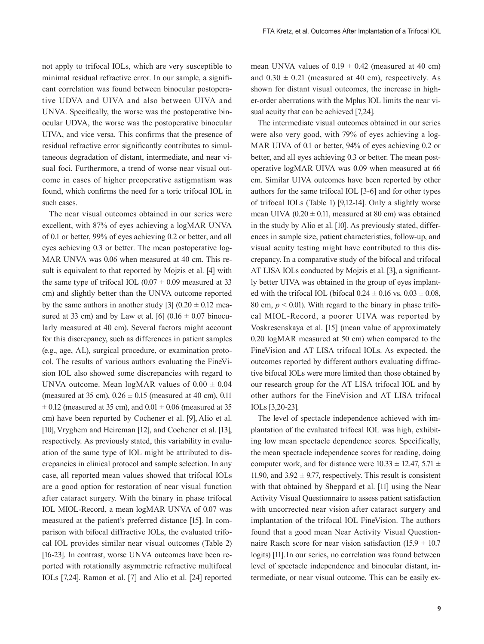not apply to trifocal IOLs, which are very susceptible to minimal residual refractive error. In our sample, a significant correlation was found between binocular postoperative UDVA and UIVA and also between UIVA and UNVA. Specifically, the worse was the postoperative binocular UDVA, the worse was the postoperative binocular UIVA, and vice versa. This confirms that the presence of residual refractive error significantly contributes to simultaneous degradation of distant, intermediate, and near visual foci. Furthermore, a trend of worse near visual outcome in cases of higher preoperative astigmatism was found, which confirms the need for a toric trifocal IOL in such cases.

The near visual outcomes obtained in our series were excellent, with 87% of eyes achieving a logMAR UNVA of 0.1 or better, 99% of eyes achieving 0.2 or better, and all eyes achieving 0.3 or better. The mean postoperative log-MAR UNVA was 0.06 when measured at 40 cm. This result is equivalent to that reported by Mojzis et al. [4] with the same type of trifocal IOL  $(0.07 \pm 0.09)$  measured at 33 cm) and slightly better than the UNVA outcome reported by the same authors in another study [3]  $(0.20 \pm 0.12 \text{ mea}$ sured at 33 cm) and by Law et al. [6]  $(0.16 \pm 0.07)$  binocularly measured at 40 cm). Several factors might account for this discrepancy, such as differences in patient samples (e.g., age, AL), surgical procedure, or examination protocol. The results of various authors evaluating the FineVision IOL also showed some discrepancies with regard to UNVA outcome. Mean logMAR values of  $0.00 \pm 0.04$ (measured at 35 cm),  $0.26 \pm 0.15$  (measured at 40 cm), 0.11  $\pm$  0.12 (measured at 35 cm), and 0.01  $\pm$  0.06 (measured at 35 cm) have been reported by Cochener et al. [9], Alio et al. [10], Vryghem and Heireman [12], and Cochener et al. [13], respectively. As previously stated, this variability in evaluation of the same type of IOL might be attributed to discrepancies in clinical protocol and sample selection. In any case, all reported mean values showed that trifocal IOLs are a good option for restoration of near visual function after cataract surgery. With the binary in phase trifocal IOL MIOL-Record, a mean logMAR UNVA of 0.07 was measured at the patient's preferred distance [15]. In comparison with bifocal diffractive IOLs, the evaluated trifocal IOL provides similar near visual outcomes (Table 2) [16-23]. In contrast, worse UNVA outcomes have been reported with rotationally asymmetric refractive multifocal IOLs [7,24]. Ramon et al. [7] and Alio et al. [24] reported

mean UNVA values of  $0.19 \pm 0.42$  (measured at 40 cm) and  $0.30 \pm 0.21$  (measured at 40 cm), respectively. As shown for distant visual outcomes, the increase in higher-order aberrations with the Mplus IOL limits the near visual acuity that can be achieved [7,24].

The intermediate visual outcomes obtained in our series were also very good, with 79% of eyes achieving a log-MAR UIVA of 0.1 or better, 94% of eyes achieving 0.2 or better, and all eyes achieving 0.3 or better. The mean postoperative logMAR UIVA was 0.09 when measured at 66 cm. Similar UIVA outcomes have been reported by other authors for the same trifocal IOL [3-6] and for other types of trifocal IOLs (Table 1) [9,12-14]. Only a slightly worse mean UIVA  $(0.20 \pm 0.11)$ , measured at 80 cm) was obtained in the study by Alio et al. [10]. As previously stated, differences in sample size, patient characteristics, follow-up, and visual acuity testing might have contributed to this discrepancy. In a comparative study of the bifocal and trifocal AT LISA IOLs conducted by Mojzis et al. [3], a significantly better UIVA was obtained in the group of eyes implanted with the trifocal IOL (bifocal  $0.24 \pm 0.16$  vs.  $0.03 \pm 0.08$ , 80 cm,  $p < 0.01$ ). With regard to the binary in phase trifocal MIOL-Record, a poorer UIVA was reported by Voskresenskaya et al. [15] (mean value of approximately 0.20 logMAR measured at 50 cm) when compared to the FineVision and AT LISA trifocal IOLs. As expected, the outcomes reported by different authors evaluating diffractive bifocal IOLs were more limited than those obtained by our research group for the AT LISA trifocal IOL and by other authors for the FineVision and AT LISA trifocal IOLs [3,20-23].

The level of spectacle independence achieved with implantation of the evaluated trifocal IOL was high, exhibiting low mean spectacle dependence scores. Specifically, the mean spectacle independence scores for reading, doing computer work, and for distance were  $10.33 \pm 12.47$ ,  $5.71 \pm 12.47$ 11.90, and  $3.92 \pm 9.77$ , respectively. This result is consistent with that obtained by Sheppard et al. [11] using the Near Activity Visual Questionnaire to assess patient satisfaction with uncorrected near vision after cataract surgery and implantation of the trifocal IOL FineVision. The authors found that a good mean Near Activity Visual Questionnaire Rasch score for near vision satisfaction  $(15.9 \pm 10.7)$ logits) [11]. In our series, no correlation was found between level of spectacle independence and binocular distant, intermediate, or near visual outcome. This can be easily ex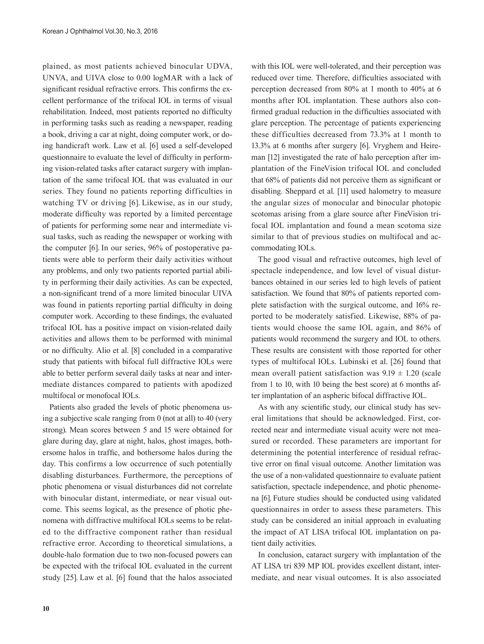plained, as most patients achieved binocular UDVA, UNVA, and UIVA close to 0.00 logMAR with a lack of significant residual refractive errors. This confirms the excellent performance of the trifocal IOL in terms of visual rehabilitation. Indeed, most patients reported no difficulty in performing tasks such as reading a newspaper, reading a book, driving a car at night, doing computer work, or doing handicraft work. Law et al. [6] used a self-developed questionnaire to evaluate the level of difficulty in performing vision-related tasks after cataract surgery with implantation of the same trifocal IOL that was evaluated in our series. They found no patients reporting difficulties in watching TV or driving [6]. Likewise, as in our study, moderate difficulty was reported by a limited percentage of patients for performing some near and intermediate visual tasks, such as reading the newspaper or working with the computer [6]. In our series, 96% of postoperative patients were able to perform their daily activities without any problems, and only two patients reported partial ability in performing their daily activities. As can be expected, a non-significant trend of a more limited binocular UIVA was found in patients reporting partial difficulty in doing computer work. According to these findings, the evaluated trifocal IOL has a positive impact on vision-related daily activities and allows them to be performed with minimal or no difficulty. Alio et al. [8] concluded in a comparative study that patients with bifocal full diffractive IOLs were able to better perform several daily tasks at near and intermediate distances compared to patients with apodized multifocal or monofocal IOLs.

Patients also graded the levels of photic phenomena using a subjective scale ranging from 0 (not at all) to 40 (very strong). Mean scores between 5 and 15 were obtained for glare during day, glare at night, halos, ghost images, bothersome halos in traffic, and bothersome halos during the day. This confirms a low occurrence of such potentially disabling disturbances. Furthermore, the perceptions of photic phenomena or visual disturbances did not correlate with binocular distant, intermediate, or near visual outcome. This seems logical, as the presence of photic phenomena with diffractive multifocal IOLs seems to be related to the diffractive component rather than residual refractive error. According to theoretical simulations, a double-halo formation due to two non-focused powers can be expected with the trifocal IOL evaluated in the current study [25]. Law et al. [6] found that the halos associated

with this IOL were well-tolerated, and their perception was reduced over time. Therefore, difficulties associated with perception decreased from 80% at 1 month to 40% at 6 months after IOL implantation. These authors also confirmed gradual reduction in the difficulties associated with glare perception. The percentage of patients experiencing these difficulties decreased from 73.3% at 1 month to 13.3% at 6 months after surgery [6]. Vryghem and Heireman [12] investigated the rate of halo perception after implantation of the FineVision trifocal IOL and concluded that 68% of patients did not perceive them as significant or disabling. Sheppard et al. [11] used halometry to measure the angular sizes of monocular and binocular photopic scotomas arising from a glare source after FineVision trifocal IOL implantation and found a mean scotoma size similar to that of previous studies on multifocal and accommodating IOLs.

The good visual and refractive outcomes, high level of spectacle independence, and low level of visual disturbances obtained in our series led to high levels of patient satisfaction. We found that 80% of patients reported complete satisfaction with the surgical outcome, and 16% reported to be moderately satisfied. Likewise, 88% of patients would choose the same IOL again, and 86% of patients would recommend the surgery and IOL to others. These results are consistent with those reported for other types of multifocal IOLs. Lubinski et al. [26] found that mean overall patient satisfaction was  $9.19 \pm 1.20$  (scale from 1 to 10, with 10 being the best score) at 6 months after implantation of an aspheric bifocal diffractive IOL.

As with any scientific study, our clinical study has several limitations that should be acknowledged. First, corrected near and intermediate visual acuity were not measured or recorded. These parameters are important for determining the potential interference of residual refractive error on final visual outcome. Another limitation was the use of a non-validated questionnaire to evaluate patient satisfaction, spectacle independence, and photic phenomena [6]. Future studies should be conducted using validated questionnaires in order to assess these parameters. This study can be considered an initial approach in evaluating the impact of AT LISA trifocal IOL implantation on patient daily activities.

In conclusion, cataract surgery with implantation of the AT LISA tri 839 MP IOL provides excellent distant, intermediate, and near visual outcomes. It is also associated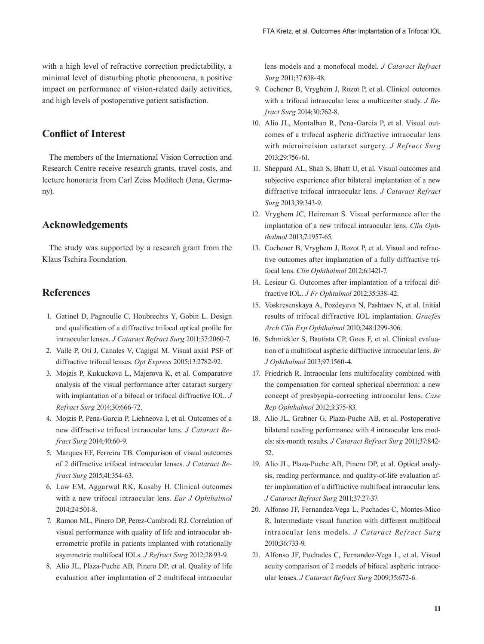with a high level of refractive correction predictability, a minimal level of disturbing photic phenomena, a positive impact on performance of vision-related daily activities, and high levels of postoperative patient satisfaction.

# **Conflict of Interest**

The members of the International Vision Correction and Research Centre receive research grants, travel costs, and lecture honoraria from Carl Zeiss Meditech (Jena, Germany).

# **Acknowledgements**

The study was supported by a research grant from the Klaus Tschira Foundation.

# **References**

- 1. Gatinel D, Pagnoulle C, Houbrechts Y, Gobin L. Design and qualification of a diffractive trifocal optical profile for intraocular lenses. *J Cataract Refract Surg* 2011;37:2060-7.
- 2. Valle P, Oti J, Canales V, Cagigal M. Visual axial PSF of diffractive trifocal lenses. *Opt Express* 2005;13:2782-92.
- 3. Mojzis P, Kukuckova L, Majerova K, et al. Comparative analysis of the visual performance after cataract surgery with implantation of a bifocal or trifocal diffractive IOL. *J Refract Surg* 2014;30:666-72.
- 4. Mojzis P, Pena-Garcia P, Liehneova I, et al. Outcomes of a new diffractive trifocal intraocular lens. *J Cataract Refract Surg* 2014;40:60-9.
- 5. Marques EF, Ferreira TB. Comparison of visual outcomes of 2 diffractive trifocal intraocular lenses. *J Cataract Refract Surg* 2015;41:354-63.
- 6. Law EM, Aggarwal RK, Kasaby H. Clinical outcomes with a new trifocal intraocular lens. *Eur J Ophthalmol*  2014;24:501-8.
- 7. Ramon ML, Pinero DP, Perez-Cambrodi RJ. Correlation of visual performance with quality of life and intraocular aberrometric profile in patients implanted with rotationally asymmetric multifocal IOLs. *J Refract Surg* 2012;28:93-9.
- 8. Alio JL, Plaza-Puche AB, Pinero DP, et al. Quality of life evaluation after implantation of 2 multifocal intraocular

lens models and a monofocal model. *J Cataract Refract Surg* 2011;37:638-48.

- 9. Cochener B, Vryghem J, Rozot P, et al. Clinical outcomes with a trifocal intraocular lens: a multicenter study. *J Refract Surg* 2014;30:762-8.
- 10. Alio JL, Montalban R, Pena-Garcia P, et al. Visual outcomes of a trifocal aspheric diffractive intraocular lens with microincision cataract surgery. *J Refract Surg* 2013;29:756-61.
- 11. Sheppard AL, Shah S, Bhatt U, et al. Visual outcomes and subjective experience after bilateral implantation of a new diffractive trifocal intraocular lens. *J Cataract Refract Surg* 2013;39:343-9.
- 12. Vryghem JC, Heireman S. Visual performance after the implantation of a new trifocal intraocular lens. *Clin Ophthalmol* 2013;7:1957-65.
- 13. Cochener B, Vryghem J, Rozot P, et al. Visual and refractive outcomes after implantation of a fully diffractive trifocal lens. *Clin Ophthalmol* 2012;6:1421-7.
- 14. Lesieur G. Outcomes after implantation of a trifocal diffractive IOL. *J Fr Ophtalmol* 2012;35:338-42.
- 15. Voskresenskaya A, Pozdeyeva N, Pashtaev N, et al. Initial results of trifocal diffractive IOL implantation. *Graefes Arch Clin Exp Ophthalmol* 2010;248:1299-306.
- 16. Schmickler S, Bautista CP, Goes F, et al. Clinical evaluation of a multifocal aspheric diffractive intraocular lens. *Br J Ophthalmol* 2013;97:1560-4.
- 17. Friedrich R. Intraocular lens multifocality combined with the compensation for corneal spherical aberration: a new concept of presbyopia-correcting intraocular lens. *Case Rep Ophthalmol* 2012;3:375-83.
- 18. Alio JL, Grabner G, Plaza-Puche AB, et al. Postoperative bilateral reading performance with 4 intraocular lens models: six-month results. *J Cataract Refract Surg* 2011;37:842- 52.
- 19. Alio JL, Plaza-Puche AB, Pinero DP, et al. Optical analysis, reading performance, and quality-of-life evaluation after implantation of a diffractive multifocal intraocular lens. *J Cataract Refract Surg* 2011;37:27-37.
- 20. Alfonso JF, Fernandez-Vega L, Puchades C, Montes-Mico R. Intermediate visual function with different multifocal intraocular lens models. *J Cataract Refract Surg* 2010;36:733-9.
- 21. Alfonso JF, Puchades C, Fernandez-Vega L, et al. Visual acuity comparison of 2 models of bifocal aspheric intraocular lenses. *J Cataract Refract Surg* 2009;35:672-6.